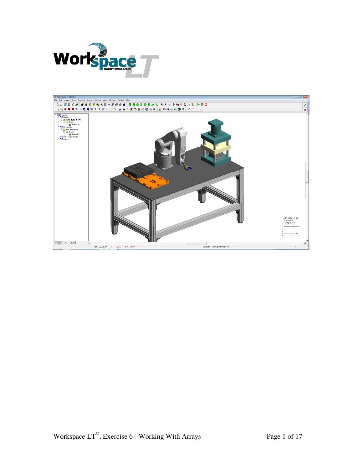

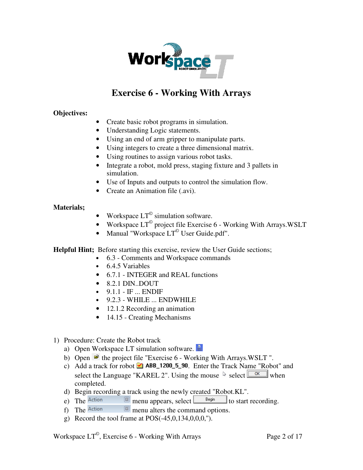

# **Exercise 6 - Working With Arrays**

### **Objectives:**

- Create basic robot programs in simulation.
- Understanding Logic statements.
- Using an end of arm gripper to manipulate parts.
- Using integers to create a three dimensional matrix.
- Using routines to assign various robot tasks.
- Integrate a robot, mold press, staging fixture and 3 pallets in simulation.
- Use of Inputs and outputs to control the simulation flow.
- Create an Animation file (.avi).

### **Materials;**

- Workspace  $LT^{\circ}$  simulation software.
- Workspace  $LT^{\degree}$  project file Exercise 6 Working With Arrays. WSLT
- Manual "Workspace  $LT^{\degree}$  User Guide.pdf".

**Helpful Hint;** Before starting this exercise, review the User Guide sections;

- 6.3 Comments and Workspace commands
- 6.4.5 Variables
- 6.7.1 INTEGER and REAL functions
- $\bullet$  8.2.1 DIN..DOUT
- $\bullet$  9.1.1 IF ... ENDIF
- 9.2.3 WHILE ... ENDWHILE
- 12.1.2 Recording an animation
- 14.15 Creating Mechanisms
- 1) Procedure: Create the Robot track
	- a) Open Workspace LT simulation software.
	- b) Open  $\mathfrak{S}$  the project file "Exercise 6 Working With Arrays.WSLT".
	- c) Add a track for robot  $\blacksquare$  **ABB\_1200\_5\_90**. Enter the Track Name "Robot" and select the Language "KAREL 2". Using the mouse  $\frac{1}{2}$  select  $\boxed{\sqrt{8}}$  when completed.
	- d) Begin recording a track using the newly created "Robot.KL".
	- e) The  $\frac{1}{\sqrt{2}}$  menu appears, select  $\frac{1}{\sqrt{2}}$  segin to start recording.
	- f) The  $\frac{\text{Action}}{\text{[m]}}$  menu alters the command options.
	- g) Record the tool frame at POS(-45,0,134,0,0,0,'').

Workspace  $LT^{\circ}$ , Exercise 6 - Working With Arrays Page 2 of 17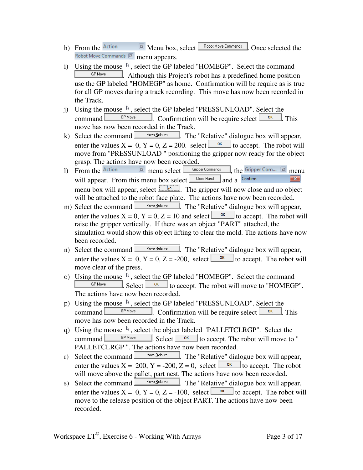- h) From the  $\overline{\text{Action}}$   $\overline{\text{B}}$  Menu box, select  $\overline{\text{Bobot Move Commons}}$ . Once selected the Robot Move Commands & menu appears.
- i) Using the mouse  $\sqrt[k]{ }$ , select the GP labeled "HOMEGP". Select the command GP Move . Although this Project's robot has a predefined home position use the GP labeled "HOMEGP" as home. Confirmation will be require as is true for all GP moves during a track recording. This move has now been recorded in the Track.
- j) Using the mouse  $\sqrt[k]{ }$ , select the GP labeled "PRESSUNLOAD". Select the command  $\Box$  GPMove  $\Box$  Confirmation will be require select  $\Box$  CM. move has now been recorded in the Track.
- k) Select the command  $\Box$  Move Elelative  $\Box$ . The "Relative" dialogue box will appear, enter the values  $X = 0$ ,  $Y = 0$ ,  $Z = 200$ . select  $\frac{X - X}{Y}$  to accept. The robot will move from "PRESSUNLOAD " positioning the gripper now ready for the object grasp. The actions have now been recorded.<br>From the Action  $\overline{\boxtimes}$  menu select  $\overline{\text{Gipper Commands}}$
- 1) From the Action  $\boxtimes$  menu select  $\boxed{\phantom{0}}$  Gripper Commands  $\phantom{\odot}$  the Gripper Com...  $\boxtimes$  menu will appear. From this menu box select  $\Box$  Close Hand and a  $\Box$  Confirm  $\mathbf{x}$ menu box will appear, select  $\boxed{\longrightarrow}$ . The gripper will now close and no object will be attached to the robot face plate. The actions have now been recorded.
- m) Select the command **E** Move Belative **Relative** Relative" dialogue box will appear, enter the values  $X = 0$ ,  $Y = 0$ ,  $Z = 10$  and select  $\frac{X - X}{Y}$  to accept. The robot will raise the gripper vertically. If there was an object "PART" attached, the simulation would show this object lifting to clear the mold. The actions have now been recorded.
- n) Select the command  $\Box$  Move Elelative  $\Box$ . The "Relative" dialogue box will appear, enter the values  $X = 0$ ,  $Y = 0$ ,  $Z = -200$ , select  $\frac{X - X}{Y}$  to accept. The robot will move clear of the press.
- o) Using the mouse  $\sqrt[5]{ }$ , select the GP labeled "HOMEGP". Select the command  $\Box$  Select  $\Box$  set to accept. The robot will move to "HOMEGP". The actions have now been recorded.
- p) Using the mouse  $\sqrt{k}$ , select the GP labeled "PRESSUNLOAD". Select the command  $\sqrt{\frac{GPMove}{m}}$  Confirmation will be require select  $\sqrt{\frac{OK}{m}}$ . This command  $\Box$  GP Move  $\Box$  Confirmation will be require select  $\Box$ move has now been recorded in the Track.
- q) Using the mouse  $\sqrt[k]{ }$ , select the object labeled "PALLETCLRGP". Select the command  $\overline{GPM_{\text{ov}}$  . Select  $\overline{GPM_{\text{ov}}}$  to accept. The robot will move to " PALLETCLRGP ". The actions have now been recorded.<br>Select the command  $\sqrt{\frac{Move Belative}{move Belative}}$  The "Relative" dial
- r) Select the command  $\Box$  Move Eelative  $\Box$ . The "Relative" dialogue box will appear, enter the values  $X = 200$ ,  $Y = -200$ ,  $Z = 0$ , select  $\Box$ <sup>ok</sup> to accept. The robot
- will move above the pallet, part nest. The actions have now been recorded.<br>s) Select the command  $\boxed{\frac{\text{Move Relative}}{\text{Relative}}}.$  The "Relative" dialogue box will ap  $\Box$ . The "Relative" dialogue box will appear, enter the values  $X = 0$ ,  $Y = 0$ ,  $Z = -100$ , select  $\frac{X}{x}$  to accept. The robot will move to the release position of the object PART. The actions have now been recorded.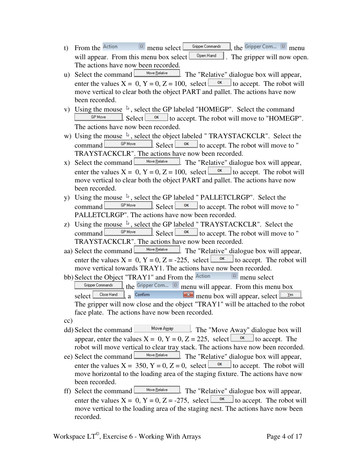- t) From the Action  $\qquad \qquad \boxed{\boxtimes}$  menu select  $\boxed{\qquad \qquad \text{Gripper Comm.}$   $\qquad \qquad \text{Gripper Comm.}$   $\qquad \qquad \boxed{\boxtimes}$  menu will appear. From this menu box select  $\Box$  <sup>Open Hand</sup> . The gripper will now open. The actions have now been recorded.
- u) Select the command  $\Box$  Move <u>Relative</u>  $\Box$ . The "Relative" dialogue box will appear, enter the values  $X = 0$ ,  $Y = 0$ ,  $Z = 100$ , select  $\frac{X}{X}$  to accept. The robot will move vertical to clear both the object PART and pallet. The actions have now been recorded.
- v) Using the mouse  $\sqrt[k]{ }$ , select the GP labeled "HOMEGP". Select the command GP Move  $\Box$  Select  $\Box$  set  $\Box$  to accept. The robot will move to "HOMEGP". The actions have now been recorded.
- w) Using the mouse  $\sqrt{k}$ , select the object labeled "TRAYSTACKCLR". Select the command  $\overline{GPM_{\text{ov}}}$  Select  $\overline{G/M}$  to accept. The robot will move to " TRAYSTACKCLR". The actions have now been recorded.
- x) Select the command  $\Box$  Move Relative  $\Box$ . The "Relative" dialogue box will appear, enter the values  $X = 0$ ,  $Y = 0$ ,  $Z = 100$ , select  $\frac{X}{x}$  to accept. The robot will move vertical to clear both the object PART and pallet. The actions have now been recorded.
- y) Using the mouse  $\sqrt{k}$ , select the GP labeled " PALLETCLRGP". Select the command . Select to accept. The robot will move to " PALLETCLRGP". The actions have now been recorded.
- z) Using the mouse  $\sqrt[k]{ }$ , select the GP labeled "TRAYSTACKCLR". Select the command  $\overline{GPM_{\text{ov}}}$  Select  $\overline{G/M}$  to accept. The robot will move to " TRAYSTACKCLR". The actions have now been recorded.
- aa) Select the command  $\Box$  Move Relative ... The "Relative" dialogue box will appear, enter the values  $X = 0$ ,  $Y = 0$ ,  $Z = -225$ , select  $\frac{X}{x}$  to accept. The robot will move vertical towards TRAY1. The actions have now been recorded.
- bb) Select the Object "TRAY1" and From the  $\frac{\text{Action}}{\text{Action}}$  menu select  $\overline{\mathcal{A}}$ , the *Gripper Com...*  $\boxed{\mathbb{S}}$  menu will appear. From this menu box Gripper Commands select  $\Box$  Close Hand  $\Box$  a Confirm  $\Box$  and  $\Box$  and  $\Box$  and  $\Box$  and  $\Box$  appear, select  $\Box$ The gripper will now close and the object "TRAY1" will be attached to the robot face plate. The actions have now been recorded.
- cc)
- dd) Select the command  $\frac{Move A way}{Move A way}$ . The "Move Away" dialogue box will appear, enter the values  $X = 0$ ,  $Y = 0$ ,  $Z = 225$ , select  $\frac{X}{X}$  to accept. The robot will move vertical to clear tray stack. The actions have now been recorded.
- ee) Select the command  $\Box$  Move <u>Relative </u>. The "Relative" dialogue box will appear, enter the values  $X = 350$ ,  $Y = 0$ ,  $Z = 0$ , select  $\frac{X - X}{Y}$  to accept. The robot will move horizontal to the loading area of the staging fixture. The actions have now been recorded.
- ff) Select the command  $\Box$  Move <u>Relative</u>  $\Box$ . The "Relative" dialogue box will appear, enter the values  $X = 0$ ,  $Y = 0$ ,  $Z = -275$ , select  $\frac{X}{x}$  to accept. The robot will move vertical to the loading area of the staging nest. The actions have now been recorded.

Workspace  $LT^{\circ}$ , Exercise 6 - Working With Arrays Page 4 of 17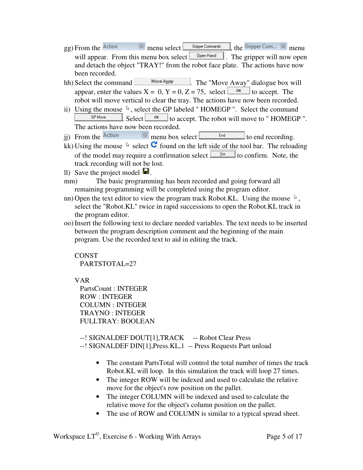- $gg$ ) From the Action  $\qquad \qquad \boxed{\boxtimes}$  menu select  $\boxed{\qquad \qquad \text{Gripper Commands}}$ , the Gripper Com...  $\qquad \qquad \boxed{\boxtimes}$  menu will appear. From this menu box select  $\Box$   $\Box$  Dpen Hand  $\Box$ . The gripper will now open and detach the object "TRAY!" from the robot face plate. The actions have now been recorded.
- hh) Select the command  $\frac{Move A way}{Move A way}$ . The "Move Away" dialogue box will appear, enter the values  $X = 0$ ,  $Y = 0$ ,  $Z = 75$ , select  $\frac{8}{x}$  to accept. The robot will move vertical to clear the tray. The actions have now been recorded.
- ii) Using the mouse  $\sqrt{k}$ , select the GP labeled "HOMEGP". Select the command GP Move  $\Box$  Select  $\Box$  set  $\Box$  to accept. The robot will move to " HOMEGP ". The actions have now been recorded.
- i) From the  $\frac{\text{Action}}{\text{Real}}$  menu box select  $\frac{\text{End}}{\text{End}}$  to end recording.
- kk) Using the mouse  $\&$  select  $\bullet$  found on the left side of the tool bar. The reloading of the model may require a confirmation select  $\sqrt{\frac{v_{es}}{v_{es}}}$  to confirm. Note, the track recording will not be lost.
- II) Save the project model  $\blacksquare$ .
- mm) The basic programming has been recorded and going forward all remaining programming will be completed using the program editor.
- nn) Open the text editor to view the program track Robot.KL. Using the mouse  $\mathbb{R}$ , select the "Robot.KL" twice in rapid successions to open the Robot.KL track in the program editor.
- oo) Insert the following text to declare needed variables. The text needs to be inserted between the program description comment and the beginning of the main program. Use the recorded text to aid in editing the track.

# **CONST**

PARTSTOTAL=27

# VAR

 PartsCount : INTEGER ROW : INTEGER COLUMN : INTEGER TRAYNO : INTEGER FULLTRAY: BOOLEAN

--! SIGNALDEF DOUT[1],TRACK -- Robot Clear Press --! SIGNALDEF DIN[1],Press.KL,1 -- Press Requests Part unload

- The constant PartsTotal will control the total number of times the track Robot.KL will loop. In this simulation the track will loop 27 times.
- The integer ROW will be indexed and used to calculate the relative move for the object's row position on the pallet.
- The integer COLUMN will be indexed and used to calculate the relative move for the object's column position on the pallet.
- The use of ROW and COLUMN is similar to a typical spread sheet.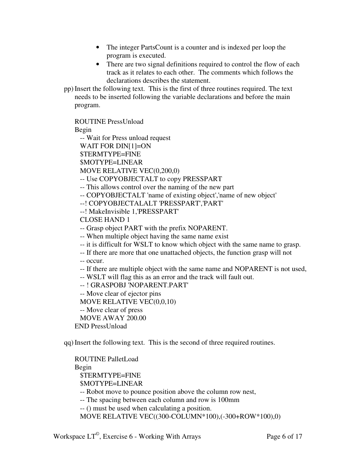- The integer PartsCount is a counter and is indexed per loop the program is executed.
- There are two signal definitions required to control the flow of each track as it relates to each other. The comments which follows the declarations describes the statement.
- pp) Insert the following text. This is the first of three routines required. The text needs to be inserted following the variable declarations and before the main program.

ROUTINE PressUnload

Begin

-- Wait for Press unload request

WAIT FOR DIN[1]=ON

\$TERMTYPE=FINE

\$MOTYPE=LINEAR

MOVE RELATIVE VEC(0,200,0)

- -- Use COPYOBJECTALT to copy PRESSPART
- -- This allows control over the naming of the new part
- -- COPYOBJECTALT 'name of existing object','name of new object'
- --! COPYOBJECTALALT 'PRESSPART','PART'
- --! MakeInvisible 1,'PRESSPART'

CLOSE HAND 1

- -- Grasp object PART with the prefix NOPARENT.
- -- When multiple object having the same name exist
- -- it is difficult for WSLT to know which object with the same name to grasp.
- -- If there are more that one unattached objects, the function grasp will not

-- occur.

- -- If there are multiple object with the same name and NOPARENT is not used,
- -- WSLT will flag this as an error and the track will fault out.

-- ! GRASPOBJ 'NOPARENT.PART'

-- Move clear of ejector pins

- MOVE RELATIVE VEC(0,0,10)
- -- Move clear of press

MOVE AWAY 200.00

END PressUnload

qq) Insert the following text. This is the second of three required routines.

ROUTINE PalletLoad Begin \$TERMTYPE=FINE \$MOTYPE=LINEAR -- Robot move to pounce position above the column row nest, -- The spacing between each column and row is 100mm -- () must be used when calculating a position. MOVE RELATIVE VEC((300-COLUMN\*100),(-300+ROW\*100),0)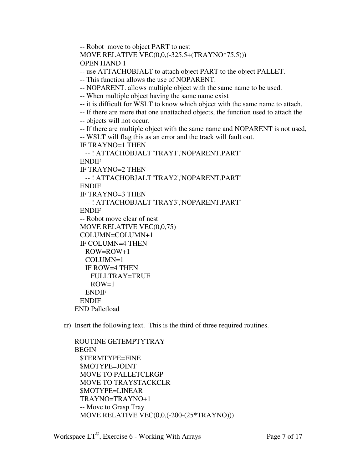-- Robot move to object PART to nest MOVE RELATIVE VEC(0,0,(-325.5+(TRAYNO\*75.5))) OPEN HAND 1 -- use ATTACHOBJALT to attach object PART to the object PALLET. -- This function allows the use of NOPARENT. -- NOPARENT. allows multiple object with the same name to be used. -- When multiple object having the same name exist -- it is difficult for WSLT to know which object with the same name to attach. -- If there are more that one unattached objects, the function used to attach the -- objects will not occur. -- If there are multiple object with the same name and NOPARENT is not used, -- WSLT will flag this as an error and the track will fault out. IF TRAYNO=1 THEN -- ! ATTACHOBJALT 'TRAY1','NOPARENT.PART' ENDIF IF TRAYNO=2 THEN -- ! ATTACHOBJALT 'TRAY2','NOPARENT.PART' ENDIF IF TRAYNO=3 THEN -- ! ATTACHOBJALT 'TRAY3','NOPARENT.PART' **ENDIF**  -- Robot move clear of nest MOVE RELATIVE VEC(0,0,75) COLUMN=COLUMN+1 IF COLUMN=4 THEN ROW=ROW+1 COLUMN=1 IF ROW=4 THEN FULLTRAY=TRUE  $ROW=1$  ENDIF ENDIF END Palletload

rr) Insert the following text. This is the third of three required routines.

ROUTINE GETEMPTYTRAY **BEGIN**  \$TERMTYPE=FINE \$MOTYPE=JOINT MOVE TO PALLETCLRGP MOVE TO TRAYSTACKCLR \$MOTYPE=LINEAR TRAYNO=TRAYNO+1 -- Move to Grasp Tray MOVE RELATIVE VEC(0,0,(-200-(25\*TRAYNO)))

Workspace  $LT^{\circ}$ , Exercise 6 - Working With Arrays Page 7 of 17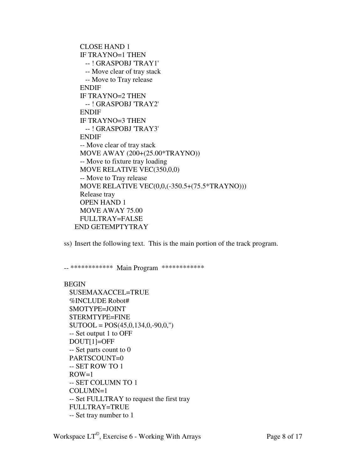CLOSE HAND 1 IF TRAYNO=1 THEN -- ! GRASPOBJ 'TRAY1' -- Move clear of tray stack -- Move to Tray release ENDIF IF TRAYNO=2 THEN -- ! GRASPOBJ 'TRAY2' ENDIF IF TRAYNO=3 THEN -- ! GRASPOBJ 'TRAY3' ENDIF -- Move clear of tray stack MOVE AWAY (200+(25.00\*TRAYNO)) -- Move to fixture tray loading MOVE RELATIVE VEC(350,0,0) -- Move to Tray release MOVE RELATIVE VEC(0,0,(-350.5+(75.5\*TRAYNO))) Release tray OPEN HAND 1 MOVE AWAY 75.00 FULLTRAY=FALSE END GETEMPTYTRAY

ss) Insert the following text. This is the main portion of the track program.

-- \*\*\*\*\*\*\*\*\*\*\*\* Main Program \*\*\*\*\*\*\*\*\*\*\*\*

### BEGIN

 \$USEMAXACCEL=TRUE %INCLUDE Robot# \$MOTYPE=JOINT \$TERMTYPE=FINE  $$UTOOL = POS(45,0,134,0,-90,0,")$  -- Set output 1 to OFF DOUT[1]=OFF -- Set parts count to 0 PARTSCOUNT=0 -- SET ROW TO 1  $ROW=1$  -- SET COLUMN TO 1 COLUMN=1 -- Set FULLTRAY to request the first tray FULLTRAY=TRUE -- Set tray number to 1

Workspace  $LT^{\circ}$ , Exercise 6 - Working With Arrays Page 8 of 17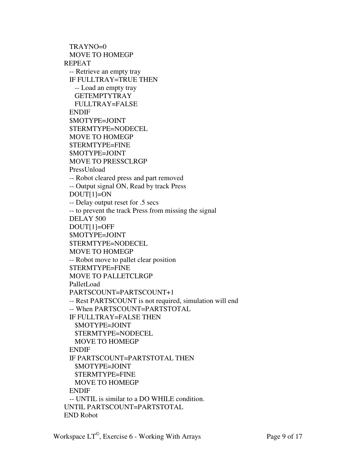TRAYNO=0 MOVE TO HOMEGP REPEAT -- Retrieve an empty tray IF FULLTRAY=TRUE THEN -- Load an empty tray GETEMPTYTRAY FULLTRAY=FALSE ENDIF \$MOTYPE=JOINT \$TERMTYPE=NODECEL MOVE TO HOMEGP \$TERMTYPE=FINE \$MOTYPE=JOINT MOVE TO PRESSCLRGP PressUnload -- Robot cleared press and part removed -- Output signal ON, Read by track Press DOUT[1]=ON -- Delay output reset for .5 secs -- to prevent the track Press from missing the signal DELAY 500 DOUT[1]=OFF \$MOTYPE=JOINT \$TERMTYPE=NODECEL MOVE TO HOMEGP -- Robot move to pallet clear position \$TERMTYPE=FINE MOVE TO PALLETCLRGP PalletLoad PARTSCOUNT=PARTSCOUNT+1 -- Rest PARTSCOUNT is not required, simulation will end -- When PARTSCOUNT=PARTSTOTAL IF FULLTRAY=FALSE THEN \$MOTYPE=JOINT \$TERMTYPE=NODECEL MOVE TO HOMEGP ENDIF IF PARTSCOUNT=PARTSTOTAL THEN \$MOTYPE=JOINT \$TERMTYPE=FINE MOVE TO HOMEGP ENDIF -- UNTIL is similar to a DO WHILE condition. UNTIL PARTSCOUNT=PARTSTOTAL END Robot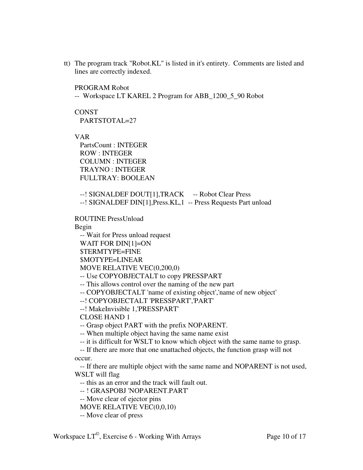tt) The program track "Robot.KL" is listed in it's entirety. Comments are listed and lines are correctly indexed.

#### PROGRAM Robot

-- Workspace LT KAREL 2 Program for ABB\_1200\_5\_90 Robot

CONST PARTSTOTAL=27

VAR

 PartsCount : INTEGER ROW : INTEGER COLUMN : INTEGER TRAYNO : INTEGER FULLTRAY: BOOLEAN

--! SIGNALDEF DOUT[1],TRACK -- Robot Clear Press --! SIGNALDEF DIN[1],Press.KL,1 -- Press Requests Part unload

ROUTINE PressUnload

Begin

-- Wait for Press unload request

WAIT FOR DIN[1]=ON

\$TERMTYPE=FINE

\$MOTYPE=LINEAR

MOVE RELATIVE VEC(0,200,0)

-- Use COPYOBJECTALT to copy PRESSPART

-- This allows control over the naming of the new part

-- COPYOBJECTALT 'name of existing object','name of new object'

--! COPYOBJECTALT 'PRESSPART','PART'

--! MakeInvisible 1,'PRESSPART'

CLOSE HAND 1

-- Grasp object PART with the prefix NOPARENT.

-- When multiple object having the same name exist

-- it is difficult for WSLT to know which object with the same name to grasp.

 -- If there are more that one unattached objects, the function grasp will not occur.

 -- If there are multiple object with the same name and NOPARENT is not used, WSLT will flag

-- this as an error and the track will fault out.

-- ! GRASPOBJ 'NOPARENT.PART'

-- Move clear of ejector pins

MOVE RELATIVE VEC(0,0,10)

-- Move clear of press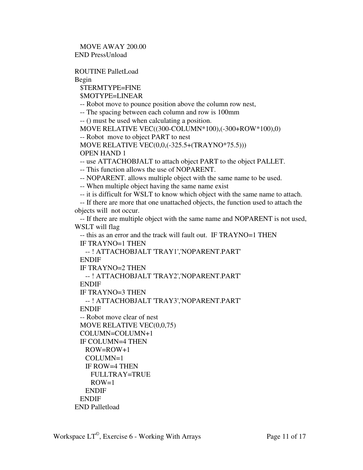MOVE AWAY 200.00 END PressUnload

ROUTINE PalletLoad

Begin

\$TERMTYPE=FINE

\$MOTYPE=LINEAR

-- Robot move to pounce position above the column row nest,

-- The spacing between each column and row is 100mm

-- () must be used when calculating a position.

MOVE RELATIVE VEC((300-COLUMN\*100),(-300+ROW\*100),0)

-- Robot move to object PART to nest

MOVE RELATIVE VEC(0,0,(-325.5+(TRAYNO\*75.5)))

OPEN HAND 1

-- use ATTACHOBJALT to attach object PART to the object PALLET.

-- This function allows the use of NOPARENT.

-- NOPARENT. allows multiple object with the same name to be used.

-- When multiple object having the same name exist

-- it is difficult for WSLT to know which object with the same name to attach.

 -- If there are more that one unattached objects, the function used to attach the objects will not occur.

 -- If there are multiple object with the same name and NOPARENT is not used, WSLT will flag

 -- this as an error and the track will fault out. IF TRAYNO=1 THEN IF TRAYNO=1 THEN

```
 -- ! ATTACHOBJALT 'TRAY1','NOPARENT.PART' 
  ENDIF 
  IF TRAYNO=2 THEN 
    -- ! ATTACHOBJALT 'TRAY2','NOPARENT.PART' 
  ENDIF 
  IF TRAYNO=3 THEN 
    -- ! ATTACHOBJALT 'TRAY3','NOPARENT.PART' 
  ENDIF 
  -- Robot move clear of nest 
  MOVE RELATIVE VEC(0,0,75) 
  COLUMN=COLUMN+1 
  IF COLUMN=4 THEN 
    ROW=ROW+1 
    COLUMN=1 
    IF ROW=4 THEN 
     FULLTRAY=TRUE 
    ROW=1 ENDIF 
  ENDIF 
END Palletload
```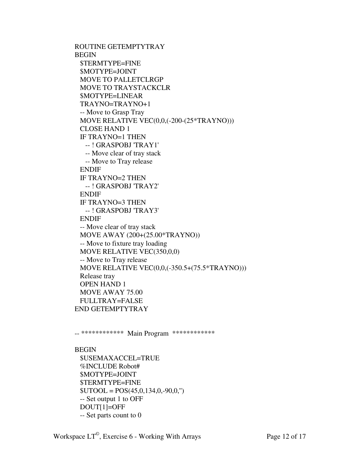ROUTINE GETEMPTYTRAY **BEGIN**  \$TERMTYPE=FINE \$MOTYPE=JOINT MOVE TO PALLETCLRGP MOVE TO TRAYSTACKCLR \$MOTYPE=LINEAR TRAYNO=TRAYNO+1 -- Move to Grasp Tray MOVE RELATIVE VEC(0,0,(-200-(25\*TRAYNO))) CLOSE HAND 1 IF TRAYNO=1 THEN -- ! GRASPOBJ 'TRAY1' -- Move clear of tray stack -- Move to Tray release ENDIF IF TRAYNO=2 THEN -- ! GRASPOBJ 'TRAY2' ENDIF IF TRAYNO=3 THEN -- ! GRASPOBJ 'TRAY3' ENDIF -- Move clear of tray stack MOVE AWAY (200+(25.00\*TRAYNO)) -- Move to fixture tray loading MOVE RELATIVE VEC(350,0,0) -- Move to Tray release MOVE RELATIVE VEC(0,0,(-350.5+(75.5\*TRAYNO))) Release tray OPEN HAND 1 MOVE AWAY 75.00 FULLTRAY=FALSE END GETEMPTYTRAY

-- \*\*\*\*\*\*\*\*\*\*\*\* Main Program \*\*\*\*\*\*\*\*\*\*\*\*

#### BEGIN

 \$USEMAXACCEL=TRUE %INCLUDE Robot# \$MOTYPE=JOINT \$TERMTYPE=FINE  $$UTOOL = POS(45,0,134,0,-90,0,")$  -- Set output 1 to OFF DOUT[1]=OFF -- Set parts count to 0

Workspace  $LT^{\circ}$ , Exercise 6 - Working With Arrays Page 12 of 17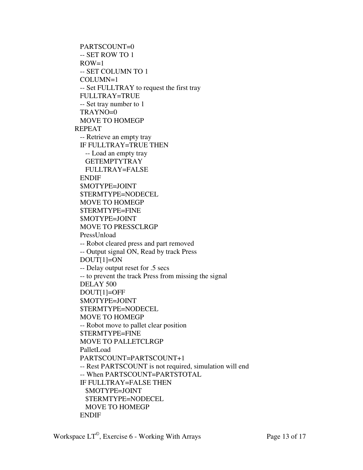```
 PARTSCOUNT=0 
  -- SET ROW TO 1 
 ROW=1 -- SET COLUMN TO 1 
  COLUMN=1 
  -- Set FULLTRAY to request the first tray 
  FULLTRAY=TRUE 
  -- Set tray number to 1 
  TRAYNO=0 
  MOVE TO HOMEGP 
REPEAT 
  -- Retrieve an empty tray 
  IF FULLTRAY=TRUE THEN 
    -- Load an empty tray 
    GETEMPTYTRAY 
    FULLTRAY=FALSE 
  ENDIF 
  $MOTYPE=JOINT 
  $TERMTYPE=NODECEL 
  MOVE TO HOMEGP 
  $TERMTYPE=FINE 
  $MOTYPE=JOINT 
  MOVE TO PRESSCLRGP 
  PressUnload 
  -- Robot cleared press and part removed 
  -- Output signal ON, Read by track Press 
  DOUT[1]=ON 
  -- Delay output reset for .5 secs 
  -- to prevent the track Press from missing the signal 
  DELAY 500 
  DOUT[1]=OFF 
  $MOTYPE=JOINT 
  $TERMTYPE=NODECEL 
  MOVE TO HOMEGP 
  -- Robot move to pallet clear position 
  $TERMTYPE=FINE 
  MOVE TO PALLETCLRGP 
  PalletLoad 
  PARTSCOUNT=PARTSCOUNT+1 
  -- Rest PARTSCOUNT is not required, simulation will end 
  -- When PARTSCOUNT=PARTSTOTAL 
  IF FULLTRAY=FALSE THEN 
    $MOTYPE=JOINT 
    $TERMTYPE=NODECEL 
    MOVE TO HOMEGP 
  ENDIF
```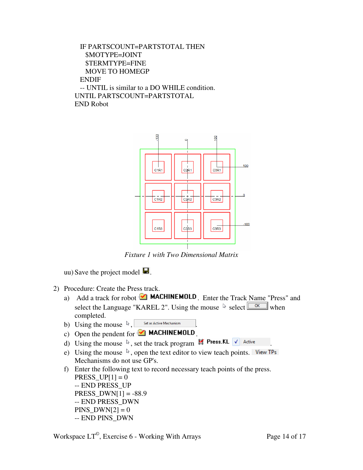```
 IF PARTSCOUNT=PARTSTOTAL THEN 
    $MOTYPE=JOINT 
   $TERMTYPE=FINE 
    MOVE TO HOMEGP 
  ENDIF 
  -- UNTIL is similar to a DO WHILE condition. 
UNTIL PARTSCOUNT=PARTSTOTAL 
END Robot
```


*Fixture 1 with Two Dimensional Matrix* 

uu) Save the project model  $\blacksquare$ .

- 2) Procedure: Create the Press track.
	- a) Add a track for robot  $\blacksquare$  MACHINEMOLD Enter the Track Name "Press" and select the Language "KAREL 2". Using the mouse  $\sqrt[k]{\text{select}}$  when completed.
	- b) Using the mouse  $\sqrt[{\mathbb Q}]{\ }$ , Set as Active Mechanism
	- c) Open the pendent for  $\mathbf{X}$  **MACHINEMOLD**.
	- d) Using the mouse  $\sqrt[k]{ }$ , set the track program  $\frac{1}{k}$  Press. KL  $\sqrt{\ }$  Active
	- e) Using the mouse  $\sqrt[k]{ }$ , open the text editor to view teach points. View TPs Mechanisms do not use GP's.

f) Enter the following text to record necessary teach points of the press.  $PRESS_UP[1] = 0$ -- END PRESS\_UP  $PRESS_DWN[1] = -88.9$ -- END PRESS\_DWN  $PINS_DWN[2] = 0$ -- END PINS\_DWN

Workspace  $LT^{\circ}$ , Exercise 6 - Working With Arrays Page 14 of 17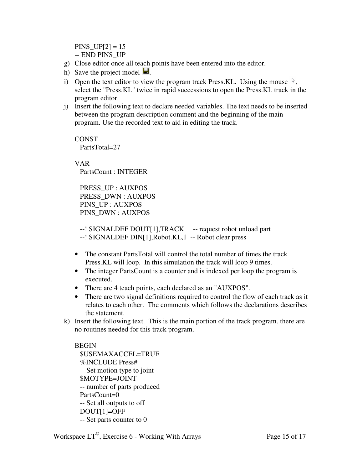PINS  $UP[2] = 15$ -- END PINS UP

- g) Close editor once all teach points have been entered into the editor.
- h) Save the project model  $\blacksquare$ .
- i) Open the text editor to view the program track Press.KL. Using the mouse  $\mathbb{R}$ , select the "Press.KL" twice in rapid successions to open the Press.KL track in the program editor.
- j) Insert the following text to declare needed variables. The text needs to be inserted between the program description comment and the beginning of the main program. Use the recorded text to aid in editing the track.

CONST PartsTotal=27

VAR PartsCount : INTEGER

 PRESS\_UP : AUXPOS PRESS\_DWN : AUXPOS PINS\_UP : AUXPOS PINS\_DWN : AUXPOS

 --! SIGNALDEF DOUT[1],TRACK -- request robot unload part --! SIGNALDEF DIN[1],Robot.KL,1 -- Robot clear press

- The constant PartsTotal will control the total number of times the track Press.KL will loop. In this simulation the track will loop 9 times.
- The integer PartsCount is a counter and is indexed per loop the program is executed.
- There are 4 teach points, each declared as an "AUXPOS".
- There are two signal definitions required to control the flow of each track as it relates to each other. The comments which follows the declarations describes the statement.
- k) Insert the following text. This is the main portion of the track program. there are no routines needed for this track program.

**BEGIN**  \$USEMAXACCEL=TRUE %INCLUDE Press# -- Set motion type to joint \$MOTYPE=JOINT -- number of parts produced PartsCount=0 -- Set all outputs to off DOUT[1]=OFF -- Set parts counter to 0

Workspace  $LT^{\circ}$ , Exercise 6 - Working With Arrays Page 15 of 17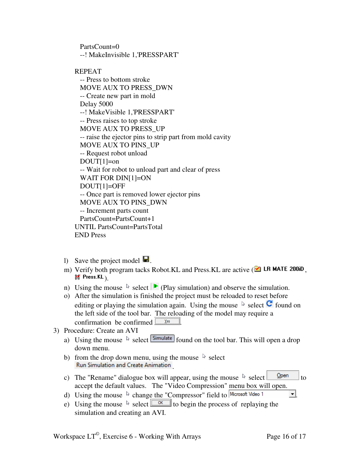PartsCount=0 --! MakeInvisible 1,'PRESSPART'

REPEAT

 -- Press to bottom stroke MOVE AUX TO PRESS\_DWN -- Create new part in mold Delay 5000 --! MakeVisible 1,'PRESSPART' -- Press raises to top stroke MOVE AUX TO PRESS\_UP -- raise the ejector pins to strip part from mold cavity MOVE AUX TO PINS\_UP -- Request robot unload  $DOUT[1]=on$  -- Wait for robot to unload part and clear of press WAIT FOR DIN[1]=ON DOUT[1]=OFF -- Once part is removed lower ejector pins MOVE AUX TO PINS\_DWN -- Increment parts count PartsCount=PartsCount+1 UNTIL PartsCount=PartsTotal END Press

- 1) Save the project model  $\blacksquare$ .
- m) Verify both program tacks Robot.KL and Press.KL are active ( $\blacksquare$  LR MATE 200iD,  $#$  Press.KL).
- n) Using the mouse  $\&$  select  $\triangleright$  (Play simulation) and observe the simulation.
- o) After the simulation is finished the project must be reloaded to reset before editing or playing the simulation again. Using the mouse  $\sqrt[5]{\ }$  select  $\overline{C}$  found on the left side of the tool bar. The reloading of the model may require a confirmation be confirmed  $\frac{v_{\text{es}}}{\sqrt{v_{\text{es}}}}$
- 3) Procedure: Create an AVI
	- a) Using the mouse  $\&$  select  $\boxed{\text{Simulate}}$  found on the tool bar. This will open a drop down menu.
	- b) from the drop down menu, using the mouse  $\sqrt[k]{ }$  select Run Simulation and Create Animation
	- c) The "Rename" dialogue box will appear, using the mouse  $\frac{1}{x}$  select  $\frac{Q_{\text{pen}}}{Q_{\text{pen}}}$  to accept the default values. The "Video Compression" menu box will open.
	- d) Using the mouse  $\sqrt[k]{ }$  change the "Compressor" field to  $\sqrt{\frac{\text{Microsoft Video 1}}{ } }$
	- e) Using the mouse  $\sqrt[k]{\phantom{a}}$  select  $\sqrt{\frac{6K}{\cosh}}$  to begin the process of replaying the simulation and creating an AVI.